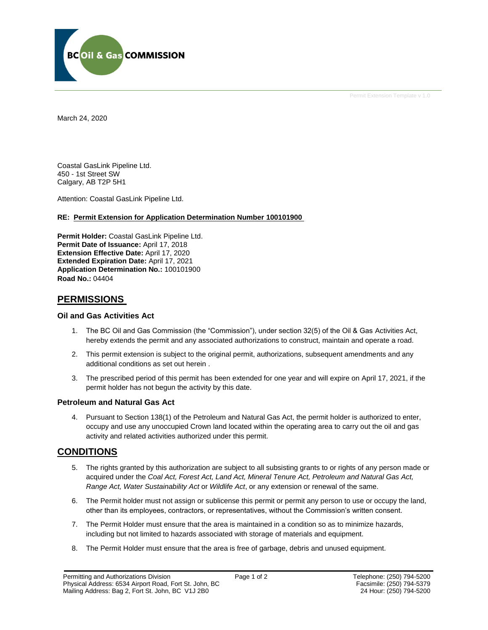

Permit Extension Template v 1.0

March 24, 2020

Coastal GasLink Pipeline Ltd. 450 - 1st Street SW Calgary, AB T2P 5H1

Attention: Coastal GasLink Pipeline Ltd.

#### **RE: Permit Extension for Application Determination Number 100101900**

**Permit Holder:** Coastal GasLink Pipeline Ltd. Permit Date of Issuance: April 17, 2018 **Extension Effective Date:** April 17, 2020 **Extended Expiration Date:** April 17, 2021 **Application Determination No.:** 100101900 **Road No.:** 04404

### **PERMISSIONS**

#### **Oil and Gas Activities Act**

- 1. The BC Oil and Gas Commission (the "Commission"), under section 32(5) of the Oil & Gas Activities Act, hereby extends the permit and any associated authorizations to construct, maintain and operate a road.
- 2. This permit extension is subject to the original permit, authorizations, subsequent amendments and any additional conditions as set out herein .
- 3. The prescribed period of this permit has been extended for one year and will expire on April 17, 2021, if the permit holder has not begun the activity by this date.

#### **Petroleum and Natural Gas Act**

4. Pursuant to Section 138(1) of the Petroleum and Natural Gas Act, the permit holder is authorized to enter, occupy and use any unoccupied Crown land located within the operating area to carry out the oil and gas activity and related activities authorized under this permit.

### **CONDITIONS**

- 5. The rights granted by this authorization are subject to all subsisting grants to or rights of any person made or acquired under the *Coal Act, Forest Act, Land Act, Mineral Tenure Act, Petroleum and Natural Gas Act, Range Act, Water Sustainability Act* or *Wildlife Act*, or any extension or renewal of the same.
- 6. The Permit holder must not assign or sublicense this permit or permit any person to use or occupy the land, other than its employees, contractors, or representatives, without the Commission's written consent.
- 7. The Permit Holder must ensure that the area is maintained in a condition so as to minimize hazards, including but not limited to hazards associated with storage of materials and equipment.
- 8. The Permit Holder must ensure that the area is free of garbage, debris and unused equipment.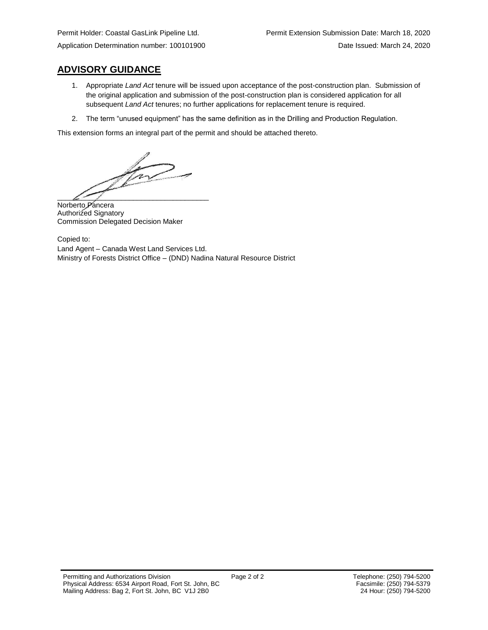# **ADVISORY GUIDANCE**

- 1. Appropriate *Land Act* tenure will be issued upon acceptance of the post-construction plan. Submission of the original application and submission of the post-construction plan is considered application for all subsequent *Land Act* tenures; no further applications for replacement tenure is required.
- 2. The term "unused equipment" has the same definition as in the Drilling and Production Regulation.

This extension forms an integral part of the permit and should be attached thereto.

T  $\int_{\mathbb{R}^d}$  and  $\int_{\mathbb{R}^d}$  and  $\int_{\mathbb{R}^d}$ 

Norberto Pancera Authorized Signatory Commission Delegated Decision Maker

Copied to: Land Agent – Canada West Land Services Ltd. Ministry of Forests District Office – (DND) Nadina Natural Resource District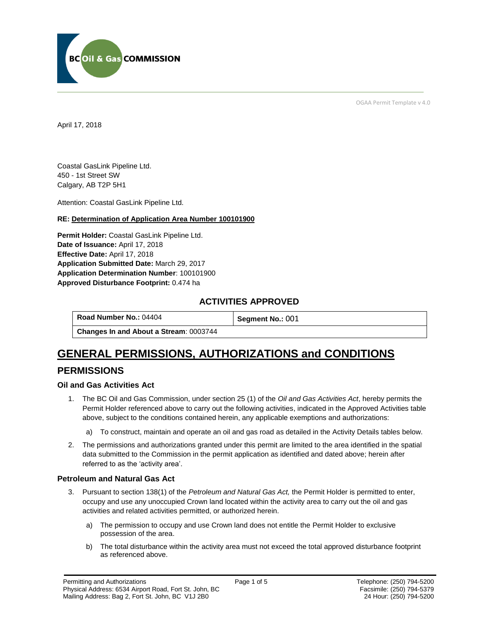

OGAA Permit Template v 4.0

April 17, 2018

Coastal GasLink Pipeline Ltd. 450 - 1st Street SW Calgary, AB T2P 5H1

[Attention:](#page-2-0) Coastal GasLink Pipeline Ltd.

#### **RE: Determination of Application Area Number 100101900**

**[Permit Holder:](#page-2-0)** Coastal GasLink Pipeline Ltd. **[Date of Issuance:](#page-2-0)** April 17, 2018 **[Effective Date:](#page-2-1)** April 17, 2018 **[Application Submitted Date:](#page-2-0)** March 29, 2017 **[Application Determination Number](#page-2-0)**: 100101900 **Approved Disturbance Footprint:** 0.474 ha

### **ACTIVITIES APPROVED**

**[Road Number No.:](#page-2-0) 04404 <b>[Segment No.:](https://bi.bcogc.ca/Application%20Processing/Interactive%20Reports/(BIL-041)%20AMS%20Decision%20Summary.aspx) 001 [Changes In and About a Stream](#page-2-0)**: 0003744

# **GENERAL PERMISSIONS, AUTHORIZATIONS and CONDITIONS PERMISSIONS**

#### **Oil and Gas Activities Act**

- <span id="page-2-0"></span>1. The BC Oil and Gas Commission, under section 25 (1) of the *Oil and Gas Activities Act*, hereby permits the Permit Holder referenced above to carry out the following activities, indicated in the Approved Activities table above, subject to the conditions contained herein, any applicable exemptions and authorizations:
	- a) To construct, maintain and operate an oil and gas road as detailed in the Activity Details tables below.
- <span id="page-2-1"></span>2. The permissions and authorizations granted under this permit are limited to the area identified in the spatial data submitted to the Commission in the permit application as identified and dated above; herein after referred to as the 'activity area'.

#### **Petroleum and Natural Gas Act**

- 3. Pursuant to section 138(1) of the *Petroleum and Natural Gas Act,* the Permit Holder is permitted to enter, occupy and use any unoccupied Crown land located within the activity area to carry out the oil and gas activities and related activities permitted, or authorized herein.
	- a) The permission to occupy and use Crown land does not entitle the Permit Holder to exclusive possession of the area.
	- b) The total disturbance within the activity area must not exceed the total approved disturbance footprint as referenced above.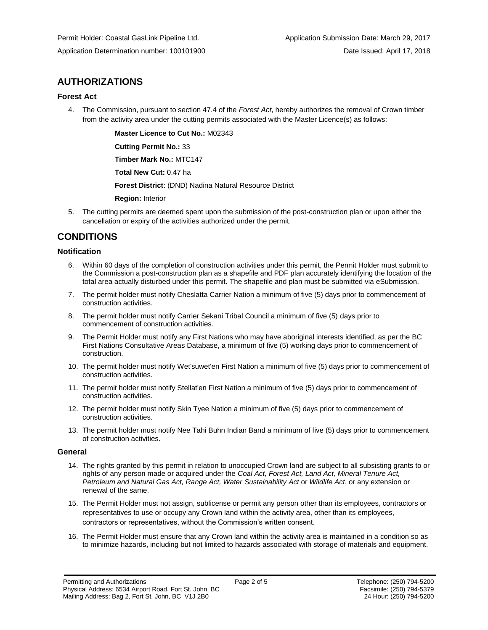# **AUTHORIZATIONS**

#### **Forest Act**

4. The Commission, pursuant to section 47.4 of the *Forest Act*, hereby authorizes the removal of Crown timber from the activity area under the cutting permits associated with the Master Licence(s) as follows:

> **[Master Licence to Cut No.:](#page-2-0)** M02343 **[Cutting Permit No.:](#page-2-0)** 33

**[Timber Mark No.:](#page-2-0)** MTC147

**[Total New Cut:](#page-2-0)** 0.47 ha

**[Forest District](https://ams-crd.bcogc.ca/crd/)**: (DND) Nadina Natural Resource District

**[Region:](#page-2-1)** Interior

5. The cutting permits are deemed spent upon the submission of the post-construction plan or upon either the cancellation or expiry of the activities authorized under the permit.

# **CONDITIONS**

#### **Notification**

- 6. Within 60 days of the completion of construction activities under this permit, the Permit Holder must submit to the Commission a post-construction plan as a shapefile and PDF plan accurately identifying the location of the total area actually disturbed under this permit. The shapefile and plan must be submitted via eSubmission.
- 7. The permit holder must notify Cheslatta Carrier Nation a minimum of five (5) days prior to commencement of construction activities.
- 8. The permit holder must notify Carrier Sekani Tribal Council a minimum of five (5) days prior to commencement of construction activities.
- 9. The Permit Holder must notify any First Nations who may have aboriginal interests identified, as per the BC First Nations Consultative Areas Database, a minimum of five (5) working days prior to commencement of construction.
- 10. The permit holder must notify Wet'suwet'en First Nation a minimum of five (5) days prior to commencement of construction activities.
- 11. The permit holder must notify Stellat'en First Nation a minimum of five (5) days prior to commencement of construction activities.
- 12. The permit holder must notify Skin Tyee Nation a minimum of five (5) days prior to commencement of construction activities.
- 13. The permit holder must notify Nee Tahi Buhn Indian Band a minimum of five (5) days prior to commencement of construction activities.

#### **General**

- 14. The rights granted by this permit in relation to unoccupied Crown land are subject to all subsisting grants to or rights of any person made or acquired under the *Coal Act, Forest Act, Land Act, Mineral Tenure Act, Petroleum and Natural Gas Act, Range Act, Water Sustainability Act* or *Wildlife Act*, or any extension or renewal of the same.
- 15. The Permit Holder must not assign, sublicense or permit any person other than its employees, contractors or representatives to use or occupy any Crown land within the activity area, other than its employees, contractors or representatives, without the Commission's written consent.
- 16. The Permit Holder must ensure that any Crown land within the activity area is maintained in a condition so as to minimize hazards, including but not limited to hazards associated with storage of materials and equipment.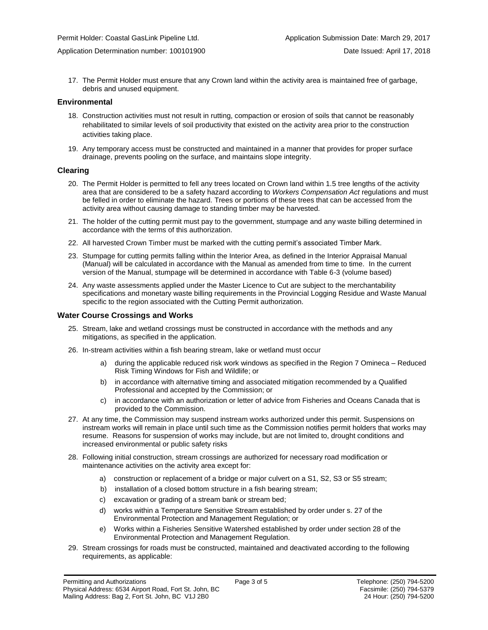17. The Permit Holder must ensure that any Crown land within the activity area is maintained free of garbage, debris and unused equipment.

#### **Environmental**

- 18. Construction activities must not result in rutting, compaction or erosion of soils that cannot be reasonably rehabilitated to similar levels of soil productivity that existed on the activity area prior to the construction activities taking place.
- 19. Any temporary access must be constructed and maintained in a manner that provides for proper surface drainage, prevents pooling on the surface, and maintains slope integrity.

#### **Clearing**

- 20. The Permit Holder is permitted to fell any trees located on Crown land within 1.5 tree lengths of the activity area that are considered to be a safety hazard according to *Workers Compensation Act* regulations and must be felled in order to eliminate the hazard. Trees or portions of these trees that can be accessed from the activity area without causing damage to standing timber may be harvested.
- 21. The holder of the cutting permit must pay to the government, stumpage and any waste billing determined in accordance with the terms of this authorization.
- 22. All harvested Crown Timber must be marked with the cutting permit's associated Timber Mark.
- 23. Stumpage for cutting permits falling within the Interior Area, as defined in the Interior Appraisal Manual (Manual) will be calculated in accordance with the Manual as amended from time to time. In the current version of the Manual, stumpage will be determined in accordance with Table 6-3 (volume based)
- 24. Any waste assessments applied under the Master Licence to Cut are subject to the merchantability specifications and monetary waste billing requirements in the Provincial Logging Residue and Waste Manual specific to the region associated with the Cutting Permit authorization.

#### **Water Course Crossings and Works**

- 25. Stream, lake and wetland crossings must be constructed in accordance with the methods and any mitigations, as specified in the application.
- 26. In-stream activities within a fish bearing stream, lake or wetland must occur
	- a) [during the applicable reduced risk work windows as specified in the](#page-2-0) Region 7 Omineca Reduced Risk Timing Windows for Fish and Wildlife; or
	- b) in accordance with alternative timing and associated mitigation recommended by a Qualified Professional and accepted by the Commission; or
	- c) in accordance with an authorization or letter of advice from Fisheries and Oceans Canada that is provided to the Commission.
- 27. At any time, the Commission may suspend instream works authorized under this permit. Suspensions on instream works will remain in place until such time as the Commission notifies permit holders that works may resume. Reasons for suspension of works may include, but are not limited to, drought conditions and increased environmental or public safety risks
- 28. Following initial construction, stream crossings are authorized for necessary road modification or maintenance activities on the activity area except for:
	- a) construction or replacement of a bridge or major culvert on a S1, S2, S3 or S5 stream;
	- b) installation of a closed bottom structure in a fish bearing stream;
	- c) excavation or grading of a stream bank or stream bed;
	- d) works within a Temperature Sensitive Stream established by order under s. 27 of the Environmental Protection and Management Regulation; or
	- e) Works within a Fisheries Sensitive Watershed established by order under section 28 of the Environmental Protection and Management Regulation.
- 29. Stream crossings for roads must be constructed, maintained and deactivated according to the following requirements, as applicable: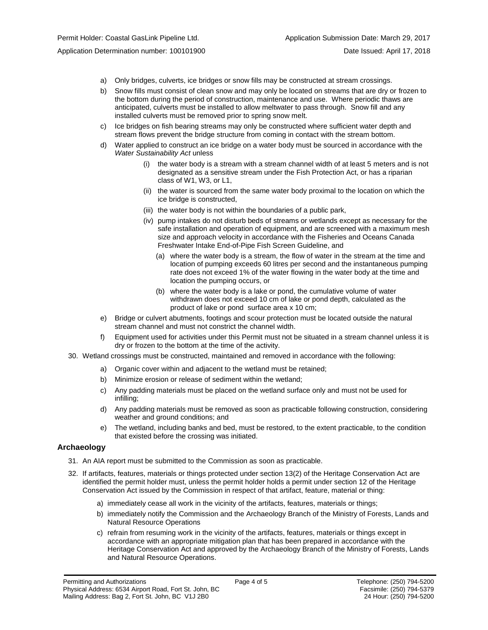- a) Only bridges, culverts, ice bridges or snow fills may be constructed at stream crossings.
- b) Snow fills must consist of clean snow and may only be located on streams that are dry or frozen to the bottom during the period of construction, maintenance and use. Where periodic thaws are anticipated, culverts must be installed to allow meltwater to pass through. Snow fill and any installed culverts must be removed prior to spring snow melt.
- c) Ice bridges on fish bearing streams may only be constructed where sufficient water depth and stream flows prevent the bridge structure from coming in contact with the stream bottom.
- d) Water applied to construct an ice bridge on a water body must be sourced in accordance with the *Water Sustainability Act* unless
	- (i) the water body is a stream with a stream channel width of at least 5 meters and is not designated as a sensitive stream under the Fish Protection Act, or has a riparian class of W1, W3, or L1,
	- (ii) the water is sourced from the same water body proximal to the location on which the ice bridge is constructed,
	- (iii) the water body is not within the boundaries of a public park,
	- (iv) pump intakes do not disturb beds of streams or wetlands except as necessary for the safe installation and operation of equipment, and are screened with a maximum mesh size and approach velocity in accordance with the Fisheries and Oceans Canada Freshwater Intake End-of-Pipe Fish Screen Guideline, and
		- (a) where the water body is a stream, the flow of water in the stream at the time and location of pumping exceeds 60 litres per second and the instantaneous pumping rate does not exceed 1% of the water flowing in the water body at the time and location the pumping occurs, or
		- (b) where the water body is a lake or pond, the cumulative volume of water withdrawn does not exceed 10 cm of lake or pond depth, calculated as the product of lake or pond surface area x 10 cm;
- e) Bridge or culvert abutments, footings and scour protection must be located outside the natural stream channel and must not constrict the channel width.
- f) Equipment used for activities under this Permit must not be situated in a stream channel unless it is dry or frozen to the bottom at the time of the activity.
- 30. Wetland crossings must be constructed, maintained and removed in accordance with the following:
	- a) Organic cover within and adjacent to the wetland must be retained;
	- b) Minimize erosion or release of sediment within the wetland;
	- c) Any padding materials must be placed on the wetland surface only and must not be used for infilling;
	- d) Any padding materials must be removed as soon as practicable following construction, considering weather and ground conditions; and
	- e) The wetland, including banks and bed, must be restored, to the extent practicable, to the condition that existed before the crossing was initiated.

#### **Archaeology**

- 31. An AIA report must be submitted to the Commission as soon as practicable.
- 32. If artifacts, features, materials or things protected under section 13(2) of the Heritage Conservation Act are identified the permit holder must, unless the permit holder holds a permit under section 12 of the Heritage Conservation Act issued by the Commission in respect of that artifact, feature, material or thing:
	- a) immediately cease all work in the vicinity of the artifacts, features, materials or things;
	- b) immediately notify the Commission and the Archaeology Branch of the Ministry of Forests, Lands and Natural Resource Operations
	- c) refrain from resuming work in the vicinity of the artifacts, features, materials or things except in accordance with an appropriate mitigation plan that has been prepared in accordance with the Heritage Conservation Act and approved by the Archaeology Branch of the Ministry of Forests, Lands and Natural Resource Operations.